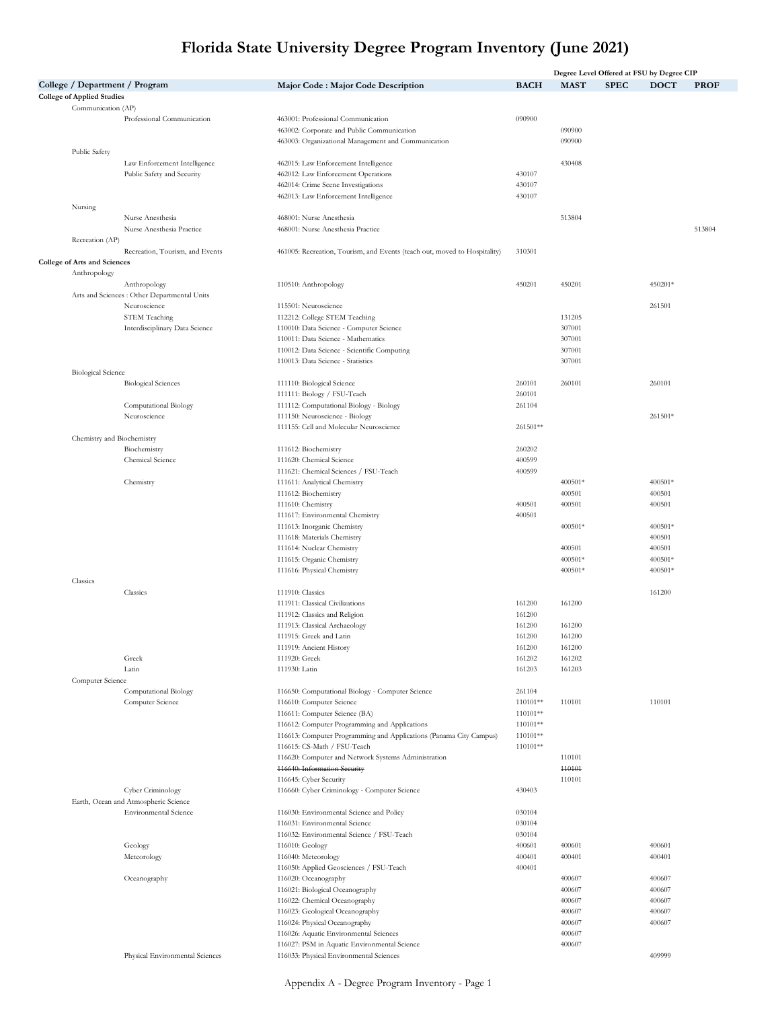|                                                         |                                              |                                                                           |                  |             | Degree Level Offered at FSU by Degree CIP |             |             |
|---------------------------------------------------------|----------------------------------------------|---------------------------------------------------------------------------|------------------|-------------|-------------------------------------------|-------------|-------------|
|                                                         | College / Department / Program               | Major Code : Major Code Description                                       | <b>BACH</b>      | <b>MAST</b> | <b>SPEC</b>                               | <b>DOCT</b> | <b>PROF</b> |
| <b>College of Applied Studies</b><br>Communication (AP) |                                              |                                                                           |                  |             |                                           |             |             |
|                                                         | Professional Communication                   | 463001: Professional Communication                                        | 090900           |             |                                           |             |             |
|                                                         |                                              | 463002: Corporate and Public Communication                                |                  | 090900      |                                           |             |             |
|                                                         |                                              | 463003: Organizational Management and Communication                       |                  | 090900      |                                           |             |             |
| Public Safety                                           |                                              |                                                                           |                  |             |                                           |             |             |
|                                                         | Law Enforcement Intelligence                 | 462015: Law Enforcement Intelligence                                      |                  | 430408      |                                           |             |             |
|                                                         | Public Safety and Security                   | 462012: Law Enforcement Operations                                        | 430107           |             |                                           |             |             |
|                                                         |                                              | 462014: Crime Scene Investigations                                        | 430107           |             |                                           |             |             |
|                                                         |                                              | 462013: Law Enforcement Intelligence                                      | 430107           |             |                                           |             |             |
| Nursing                                                 |                                              |                                                                           |                  |             |                                           |             |             |
|                                                         | Nurse Anesthesia                             | 468001: Nurse Anesthesia                                                  |                  | 513804      |                                           |             |             |
|                                                         | Nurse Anesthesia Practice                    | 468001: Nurse Anesthesia Practice                                         |                  |             |                                           |             | 513804      |
| Recreation (AP)                                         |                                              |                                                                           |                  |             |                                           |             |             |
|                                                         | Recreation, Tourism, and Events              | 461005: Recreation, Tourism, and Events (teach out, moved to Hospitality) | 310301           |             |                                           |             |             |
| College of Arts and Sciences                            |                                              |                                                                           |                  |             |                                           |             |             |
| Anthropology                                            | Anthropology                                 | 110510: Anthropology                                                      | 450201           | 450201      |                                           | 450201*     |             |
|                                                         | Arts and Sciences : Other Departmental Units |                                                                           |                  |             |                                           |             |             |
|                                                         | Neuroscience                                 | 115501: Neuroscience                                                      |                  |             |                                           | 261501      |             |
|                                                         | STEM Teaching                                | 112212: College STEM Teaching                                             |                  | 131205      |                                           |             |             |
|                                                         | Interdisciplinary Data Science               | 110010: Data Science - Computer Science                                   |                  | 307001      |                                           |             |             |
|                                                         |                                              | 110011: Data Science - Mathematics                                        |                  | 307001      |                                           |             |             |
|                                                         |                                              | 110012: Data Science - Scientific Computing                               |                  | 307001      |                                           |             |             |
|                                                         |                                              | 110013: Data Science - Statistics                                         |                  | 307001      |                                           |             |             |
| <b>Biological Science</b>                               |                                              |                                                                           |                  |             |                                           |             |             |
|                                                         | <b>Biological Sciences</b>                   | 111110: Biological Science                                                | 260101           | 260101      |                                           | 260101      |             |
|                                                         |                                              | 111111: Biology / FSU-Teach                                               | 260101           |             |                                           |             |             |
|                                                         | Computational Biology                        | 111112: Computational Biology - Biology                                   | 261104           |             |                                           |             |             |
|                                                         | Neuroscience                                 | 111150: Neuroscience - Biology                                            |                  |             |                                           | 261501*     |             |
|                                                         |                                              | 111155: Cell and Molecular Neuroscience                                   | 261501**         |             |                                           |             |             |
|                                                         | Chemistry and Biochemistry                   |                                                                           |                  |             |                                           |             |             |
|                                                         | Biochemistry                                 | 111612: Biochemistry                                                      | 260202           |             |                                           |             |             |
|                                                         | Chemical Science                             | 111620: Chemical Science                                                  | 400599           |             |                                           |             |             |
|                                                         |                                              | 111621: Chemical Sciences / FSU-Teach                                     | 400599           |             |                                           |             |             |
|                                                         | Chemistry                                    | 111611: Analytical Chemistry                                              |                  | 400501*     |                                           | 400501*     |             |
|                                                         |                                              | 111612: Biochemistry                                                      |                  | 400501      |                                           | 400501      |             |
|                                                         |                                              | 111610: Chemistry                                                         | 400501           | 400501      |                                           | 400501      |             |
|                                                         |                                              | 111617: Environmental Chemistry                                           | 400501           |             |                                           |             |             |
|                                                         |                                              | 111613: Inorganic Chemistry                                               |                  | 400501*     |                                           | 400501*     |             |
|                                                         |                                              | 111618: Materials Chemistry                                               |                  |             |                                           | 400501      |             |
|                                                         |                                              | 111614: Nuclear Chemistry                                                 |                  | 400501      |                                           | 400501      |             |
|                                                         |                                              | 111615: Organic Chemistry                                                 |                  | 400501*     |                                           | 400501*     |             |
|                                                         |                                              | 111616: Physical Chemistry                                                |                  | 400501*     |                                           | 400501*     |             |
| Classics                                                | Classics                                     | 111910: Classics                                                          |                  |             |                                           | 161200      |             |
|                                                         |                                              | 111911: Classical Civilizations                                           |                  | 161200      |                                           |             |             |
|                                                         |                                              | 111912: Classics and Religion                                             | 161200<br>161200 |             |                                           |             |             |
|                                                         |                                              | 111913: Classical Archaeology                                             | 161200           | 161200      |                                           |             |             |
|                                                         |                                              | 111915: Greek and Latin                                                   | 161200           | 161200      |                                           |             |             |
|                                                         |                                              | 111919: Ancient History                                                   | 161200           | 161200      |                                           |             |             |
|                                                         | Greek                                        | 111920: Greek                                                             | 161202           | 161202      |                                           |             |             |
|                                                         | Latin                                        | 111930: Latin                                                             | 161203           | 161203      |                                           |             |             |
| Computer Science                                        |                                              |                                                                           |                  |             |                                           |             |             |
|                                                         | Computational Biology                        | 116650: Computational Biology - Computer Science                          | 261104           |             |                                           |             |             |
|                                                         | Computer Science                             | 116610: Computer Science                                                  | 110101**         | 110101      |                                           | 110101      |             |
|                                                         |                                              | 116611: Computer Science (BA)                                             | 110101**         |             |                                           |             |             |
|                                                         |                                              | 116612: Computer Programming and Applications                             | 110101**         |             |                                           |             |             |
|                                                         |                                              | 116613: Computer Programming and Applications (Panama City Campus)        | 110101**         |             |                                           |             |             |
|                                                         |                                              | 116615: CS-Math / FSU-Teach                                               | 110101**         |             |                                           |             |             |
|                                                         |                                              | 116620: Computer and Network Systems Administration                       |                  | 110101      |                                           |             |             |
|                                                         |                                              | <b>116640: Information Security</b>                                       |                  | 440101      |                                           |             |             |
|                                                         |                                              | 116645: Cyber Security                                                    |                  | 110101      |                                           |             |             |
|                                                         | Cyber Criminology                            | 116660: Cyber Criminology - Computer Science                              | 430403           |             |                                           |             |             |
|                                                         | Earth, Ocean and Atmospheric Science         |                                                                           |                  |             |                                           |             |             |
|                                                         | <b>Environmental Science</b>                 | 116030: Environmental Science and Policy                                  | 030104           |             |                                           |             |             |
|                                                         |                                              | 116031: Environmental Science                                             | 030104           |             |                                           |             |             |
|                                                         |                                              | 116032: Environmental Science / FSU-Teach                                 | 030104           |             |                                           |             |             |
|                                                         | Geology                                      | 116010: Geology                                                           | 400601           | 400601      |                                           | 400601      |             |
|                                                         | Meteorology                                  | 116040: Meteorology                                                       | 400401           | 400401      |                                           | 400401      |             |
|                                                         |                                              | 116050: Applied Geosciences / FSU-Teach                                   | 400401           |             |                                           |             |             |
|                                                         | Oceanography                                 | 116020: Oceanography                                                      |                  | 400607      |                                           | 400607      |             |
|                                                         |                                              | 116021: Biological Oceanography                                           |                  | 400607      |                                           | 400607      |             |
|                                                         |                                              | 116022: Chemical Oceanography                                             |                  | 400607      |                                           | 400607      |             |
|                                                         |                                              | 116023: Geological Oceanography                                           |                  | 400607      |                                           | 400607      |             |
|                                                         |                                              | 116024: Physical Oceanography                                             |                  | 400607      |                                           | 400607      |             |
|                                                         |                                              | 116026: Aquatic Environmental Sciences                                    |                  | 400607      |                                           |             |             |
|                                                         |                                              | 116027: PSM in Aquatic Environmental Science                              |                  | 400607      |                                           |             |             |
|                                                         | Physical Environmental Sciences              | 116033: Physical Environmental Sciences                                   |                  |             |                                           | 409999      |             |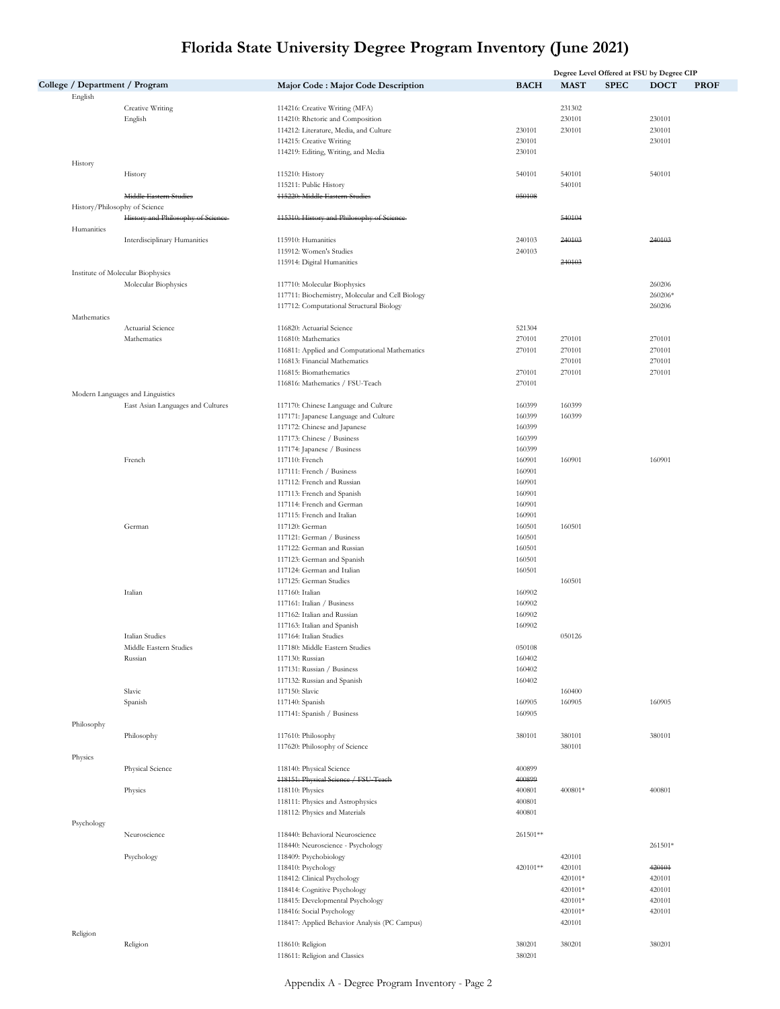|             |                                   |                                                                                |                  |                  | Degree Level Offered at FSU by Degree CIP |             |
|-------------|-----------------------------------|--------------------------------------------------------------------------------|------------------|------------------|-------------------------------------------|-------------|
|             | College / Department / Program    | Major Code : Major Code Description                                            | <b>BACH</b>      | <b>MAST</b>      | <b>SPEC</b><br><b>DOCT</b>                | <b>PROF</b> |
| English     |                                   |                                                                                |                  |                  |                                           |             |
|             | Creative Writing                  | 114216: Creative Writing (MFA)                                                 |                  | 231302           |                                           |             |
|             | English                           | 114210: Rhetoric and Composition                                               |                  | 230101<br>230101 | 230101                                    |             |
|             |                                   | 114212: Literature, Media, and Culture<br>114215: Creative Writing             | 230101<br>230101 |                  | 230101<br>230101                          |             |
|             |                                   | 114219: Editing, Writing, and Media                                            | 230101           |                  |                                           |             |
| History     |                                   |                                                                                |                  |                  |                                           |             |
|             | History                           | 115210: History                                                                | 540101           | 540101           | 540101                                    |             |
|             |                                   | 115211: Public History                                                         |                  | 540101           |                                           |             |
|             | Middle Eastern Studies            | 415220: Middle Eastern Studies                                                 | 050108           |                  |                                           |             |
|             | History/Philosophy of Science     |                                                                                |                  |                  |                                           |             |
|             | History and Philosophy of Seience | 415310: History and Philosophy of Science                                      |                  | 540104           |                                           |             |
| Humanities  |                                   |                                                                                |                  |                  |                                           |             |
|             | Interdisciplinary Humanities      | 115910: Humanities                                                             | 240103           | 240103           | 240103                                    |             |
|             |                                   | 115912: Women's Studies                                                        | 240103           |                  |                                           |             |
|             |                                   | 115914: Digital Humanities                                                     |                  | 240103           |                                           |             |
|             | Institute of Molecular Biophysics |                                                                                |                  |                  |                                           |             |
|             | Molecular Biophysics              | 117710: Molecular Biophysics                                                   |                  |                  | 260206                                    |             |
|             |                                   | 117711: Biochemistry, Molecular and Cell Biology                               |                  |                  | 260206*                                   |             |
|             |                                   | 117712: Computational Structural Biology                                       |                  |                  | 260206                                    |             |
| Mathematics |                                   |                                                                                |                  |                  |                                           |             |
|             | Actuarial Science                 | 116820: Actuarial Science                                                      | 521304           |                  |                                           |             |
|             | Mathematics                       | 116810: Mathematics                                                            | 270101<br>270101 | 270101<br>270101 | 270101<br>270101                          |             |
|             |                                   | 116811: Applied and Computational Mathematics<br>116813: Financial Mathematics |                  | 270101           | 270101                                    |             |
|             |                                   | 116815: Biomathematics                                                         | 270101           | 270101           | 270101                                    |             |
|             |                                   | 116816: Mathematics / FSU-Teach                                                | 270101           |                  |                                           |             |
|             | Modern Languages and Linguistics  |                                                                                |                  |                  |                                           |             |
|             | East Asian Languages and Cultures | 117170: Chinese Language and Culture                                           | 160399           | 160399           |                                           |             |
|             |                                   | 117171: Japanese Language and Culture                                          | 160399           | 160399           |                                           |             |
|             |                                   | 117172: Chinese and Japanese                                                   | 160399           |                  |                                           |             |
|             |                                   | 117173: Chinese / Business                                                     | 160399           |                  |                                           |             |
|             |                                   | 117174: Japanese / Business                                                    | 160399           |                  |                                           |             |
|             | French                            | 117110: French                                                                 | 160901           | 160901           | 160901                                    |             |
|             |                                   | 117111: French / Business                                                      | 160901           |                  |                                           |             |
|             |                                   | 117112: French and Russian                                                     | 160901           |                  |                                           |             |
|             |                                   | 117113: French and Spanish                                                     | 160901           |                  |                                           |             |
|             |                                   | 117114: French and German                                                      | 160901           |                  |                                           |             |
|             |                                   | 117115: French and Italian                                                     | 160901           |                  |                                           |             |
|             | German                            | 117120: German                                                                 | 160501           | 160501           |                                           |             |
|             |                                   | 117121: German / Business                                                      | 160501           |                  |                                           |             |
|             |                                   | 117122: German and Russian                                                     | 160501           |                  |                                           |             |
|             |                                   | 117123: German and Spanish                                                     | 160501           |                  |                                           |             |
|             |                                   | 117124: German and Italian                                                     | 160501           |                  |                                           |             |
|             |                                   | 117125: German Studies                                                         |                  | 160501           |                                           |             |
|             | Italian                           | 117160: Italian                                                                | 160902           |                  |                                           |             |
|             |                                   | 117161: Italian / Business                                                     | 160902           |                  |                                           |             |
|             |                                   | 117162: Italian and Russian                                                    | 160902           |                  |                                           |             |
|             |                                   | 117163: Italian and Spanish                                                    | 160902           |                  |                                           |             |
|             | Italian Studies                   | 117164: Italian Studies                                                        |                  | 050126           |                                           |             |
|             | Middle Eastern Studies            | 117180: Middle Eastern Studies                                                 | 050108           |                  |                                           |             |
|             | Russian                           | 117130: Russian                                                                | 160402           |                  |                                           |             |
|             |                                   | 117131: Russian / Business<br>117132: Russian and Spanish                      | 160402           |                  |                                           |             |
|             | Slavic                            | 117150: Slavic                                                                 | 160402           | 160400           |                                           |             |
|             | Spanish                           | 117140: Spanish                                                                | 160905           | 160905           | 160905                                    |             |
|             |                                   | 117141: Spanish / Business                                                     | 160905           |                  |                                           |             |
| Philosophy  |                                   |                                                                                |                  |                  |                                           |             |
|             | Philosophy                        | 117610: Philosophy                                                             | 380101           | 380101           | 380101                                    |             |
|             |                                   | 117620: Philosophy of Science                                                  |                  | 380101           |                                           |             |
| Physics     |                                   |                                                                                |                  |                  |                                           |             |
|             | Physical Science                  | 118140: Physical Science                                                       | 400899           |                  |                                           |             |
|             |                                   | 418151: Physical Science / FSU-Teach                                           | 400899           |                  |                                           |             |
|             | Physics                           | 118110: Physics                                                                | 400801           | 400801*          | 400801                                    |             |
|             |                                   | 118111: Physics and Astrophysics                                               | 400801           |                  |                                           |             |
|             |                                   | 118112: Physics and Materials                                                  | 400801           |                  |                                           |             |
| Psychology  |                                   |                                                                                |                  |                  |                                           |             |
|             | Neuroscience                      | 118440: Behavioral Neuroscience                                                | 261501**         |                  |                                           |             |
|             |                                   | 118440: Neuroscience - Psychology                                              |                  |                  | 261501*                                   |             |
|             | Psychology                        | 118409: Psychobiology                                                          |                  | 420101           |                                           |             |
|             |                                   | 118410: Psychology                                                             | 420101**         | 420101           | 420101                                    |             |
|             |                                   | 118412: Clinical Psychology                                                    |                  | 420101*          | 420101                                    |             |
|             |                                   | 118414: Cognitive Psychology                                                   |                  | 420101*          | 420101                                    |             |
|             |                                   | 118415: Developmental Psychology                                               |                  | 420101*          | 420101                                    |             |
|             |                                   | 118416: Social Psychology                                                      |                  | 420101*          | 420101                                    |             |
|             |                                   | 118417: Applied Behavior Analysis (PC Campus)                                  |                  | 420101           |                                           |             |
| Religion    |                                   |                                                                                |                  |                  |                                           |             |
|             | Religion                          | 118610: Religion                                                               | 380201           | 380201           | 380201                                    |             |
|             |                                   | 118611: Religion and Classics                                                  | 380201           |                  |                                           |             |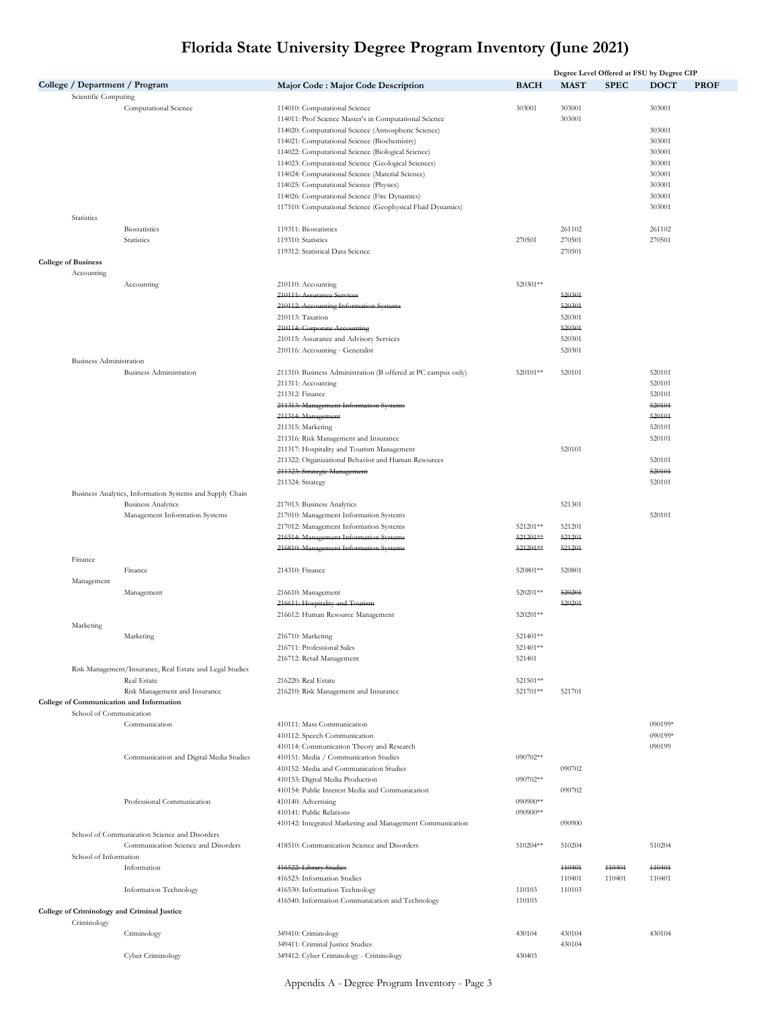|                                |                                                          |                                                                                                             |                      |                  | Degree Level Offered at FSU by Degree CIP |                   |             |
|--------------------------------|----------------------------------------------------------|-------------------------------------------------------------------------------------------------------------|----------------------|------------------|-------------------------------------------|-------------------|-------------|
|                                | College / Department / Program                           | Major Code : Major Code Description                                                                         | <b>BACH</b>          | <b>MAST</b>      | <b>SPEC</b>                               | <b>DOCT</b>       | <b>PROF</b> |
| Scientific Computing           | Computational Science                                    | 114010: Computational Science<br>114011: Prof Science Master's in Computational Science                     | 303001               | 303001<br>303001 |                                           | 303001            |             |
|                                |                                                          | 114020: Computational Science (Atmospheric Science)                                                         |                      |                  |                                           | 303001            |             |
|                                |                                                          | 114021: Computational Science (Biochemistry)<br>114022: Computational Science (Biological Science)          |                      |                  |                                           | 303001<br>303001  |             |
|                                |                                                          | 114023: Computational Science (Geological Sciences)                                                         |                      |                  |                                           | 303001            |             |
|                                |                                                          | 114024: Computational Science (Material Science)                                                            |                      |                  |                                           | 303001            |             |
|                                |                                                          | 114025: Computational Science (Physics)                                                                     |                      |                  |                                           | 303001            |             |
|                                |                                                          | 114026: Computational Science (Fire Dynamics)<br>117510: Computational Science (Geophysical Fluid Dynamics) |                      |                  |                                           | 303001<br>303001  |             |
| Statistics                     |                                                          |                                                                                                             |                      |                  |                                           |                   |             |
|                                | <b>Biostatistics</b>                                     | 119311: Biostatistics                                                                                       |                      | 261102           |                                           | 261102            |             |
|                                | Statistics                                               | 119310: Statistics                                                                                          | 270501               | 270501           |                                           | 270501            |             |
| <b>College of Business</b>     |                                                          | 119312: Statistical Data Science                                                                            |                      | 270501           |                                           |                   |             |
| Accounting                     |                                                          |                                                                                                             |                      |                  |                                           |                   |             |
|                                | Accounting                                               | 210110: Accounting                                                                                          | 520301**             |                  |                                           |                   |             |
|                                |                                                          | 210111: Assurance Services                                                                                  |                      | 520301           |                                           |                   |             |
|                                |                                                          | 210112: Accounting Information Systems<br>210113: Taxation                                                  |                      | 520301<br>520301 |                                           |                   |             |
|                                |                                                          | 210114: Corporate Accounting                                                                                |                      | 520301           |                                           |                   |             |
|                                |                                                          | 210115: Assurance and Advisory Services                                                                     |                      | 520301           |                                           |                   |             |
|                                |                                                          | 210116: Accounting - Generalist                                                                             |                      | 520301           |                                           |                   |             |
| <b>Business Administration</b> | <b>Business Administration</b>                           | 211310: Business Administration (B offered at PC campus only)                                               | 520101**             | 520101           |                                           | 520101            |             |
|                                |                                                          | 211311: Accounting                                                                                          |                      |                  |                                           | 520101            |             |
|                                |                                                          | 211312: Finance                                                                                             |                      |                  |                                           | 520101            |             |
|                                |                                                          | 211313: Management Information Systems                                                                      |                      |                  |                                           | 520101            |             |
|                                |                                                          | 211314: Management<br>211315: Marketing                                                                     |                      |                  |                                           | 520101<br>520101  |             |
|                                |                                                          | 211316: Risk Management and Insurance                                                                       |                      |                  |                                           | 520101            |             |
|                                |                                                          | 211317: Hospitality and Tourism Management                                                                  |                      | 520101           |                                           |                   |             |
|                                |                                                          | 211322: Organizational Behavior and Human Resources                                                         |                      |                  |                                           | 520101            |             |
|                                |                                                          | 211323: Strategie Management<br>211324: Strategy                                                            |                      |                  |                                           | 520101<br>520101  |             |
|                                | Business Analytics, Information Systems and Supply Chain |                                                                                                             |                      |                  |                                           |                   |             |
|                                | <b>Business Analytics</b>                                | 217013: Business Analytics                                                                                  |                      | 521301           |                                           |                   |             |
|                                | Management Information Systems                           | 217010: Management Information Systems                                                                      |                      |                  |                                           | 520101            |             |
|                                |                                                          | 217012: Management Information Systems<br>216514: Management Information Systems                            | 521201**<br>521201** | 521201<br>521201 |                                           |                   |             |
|                                |                                                          | 216810: Management Information Systems                                                                      | 521201**             | 521201           |                                           |                   |             |
| Finance                        |                                                          |                                                                                                             |                      |                  |                                           |                   |             |
|                                | Finance                                                  | 214310: Finance                                                                                             | 520801**             | 520801           |                                           |                   |             |
| Management                     | Management                                               | 216610: Management                                                                                          | 520201**             | 520201           |                                           |                   |             |
|                                |                                                          | 216611: Hospitality and Tourism                                                                             |                      | 520201           |                                           |                   |             |
|                                |                                                          | 216612: Human Resource Management                                                                           | 520201**             |                  |                                           |                   |             |
| Marketing                      |                                                          |                                                                                                             |                      |                  |                                           |                   |             |
|                                | Marketing                                                | 216710: Marketing<br>216711: Professional Sales                                                             | 521401**<br>521401** |                  |                                           |                   |             |
|                                |                                                          | 216712: Retail Management                                                                                   | 521401               |                  |                                           |                   |             |
|                                | Risk Management/Insurance, Real Estate and Legal Studies |                                                                                                             |                      |                  |                                           |                   |             |
|                                | Real Estate<br>Risk Management and Insurance             | 216220: Real Estate<br>216210: Risk Management and Insurance                                                | 521501**<br>521701** | 521701           |                                           |                   |             |
|                                | College of Communication and Information                 |                                                                                                             |                      |                  |                                           |                   |             |
| School of Communication        |                                                          |                                                                                                             |                      |                  |                                           |                   |             |
|                                | Communication                                            | 410111: Mass Communication                                                                                  |                      |                  |                                           | 090199*           |             |
|                                |                                                          | 410112: Speech Communication<br>410114: Communication Theory and Research                                   |                      |                  |                                           | 090199*<br>090199 |             |
|                                | Communication and Digital Media Studies                  | 410151: Media / Communication Studies                                                                       | 090702**             |                  |                                           |                   |             |
|                                |                                                          | 410152: Media and Communication Studies                                                                     |                      | 090702           |                                           |                   |             |
|                                |                                                          | 410153: Digital Media Production                                                                            | 090702**             |                  |                                           |                   |             |
|                                | Professional Communication                               | 410154: Public Interest Media and Communication<br>410140: Advertising                                      | 090900**             | 090702           |                                           |                   |             |
|                                |                                                          | 410141: Public Relations                                                                                    | 090900**             |                  |                                           |                   |             |
|                                |                                                          | 410142: Integrated Marketing and Management Communication                                                   |                      | 090900           |                                           |                   |             |
|                                | School of Communication Science and Disorders            |                                                                                                             |                      |                  |                                           |                   |             |
|                                | Communication Science and Disorders                      | 418510: Communication Science and Disorders                                                                 | 510204**             | 510204           |                                           | 510204            |             |
| School of Information          | Information                                              | 416522: Library Studies                                                                                     |                      | 440404           | 440401                                    | 440404            |             |
|                                |                                                          | 416523: Information Studies                                                                                 |                      | 110401           | 110401                                    | 110401            |             |
|                                | Information Technology                                   | 416530: Information Technology                                                                              | 110103               | 110103           |                                           |                   |             |
|                                | College of Criminology and Criminal Justice              | 416540: Information Communication and Technology                                                            | 110103               |                  |                                           |                   |             |
| Criminology                    |                                                          |                                                                                                             |                      |                  |                                           |                   |             |
|                                | Criminology                                              | 349410: Criminology                                                                                         | 430104               | 430104           |                                           | 430104            |             |
|                                |                                                          | 349411: Criminal Justice Studies                                                                            |                      | 430104           |                                           |                   |             |
|                                | Cyber Criminology                                        | 349412: Cyber Criminology - Criminology                                                                     | 430403               |                  |                                           |                   |             |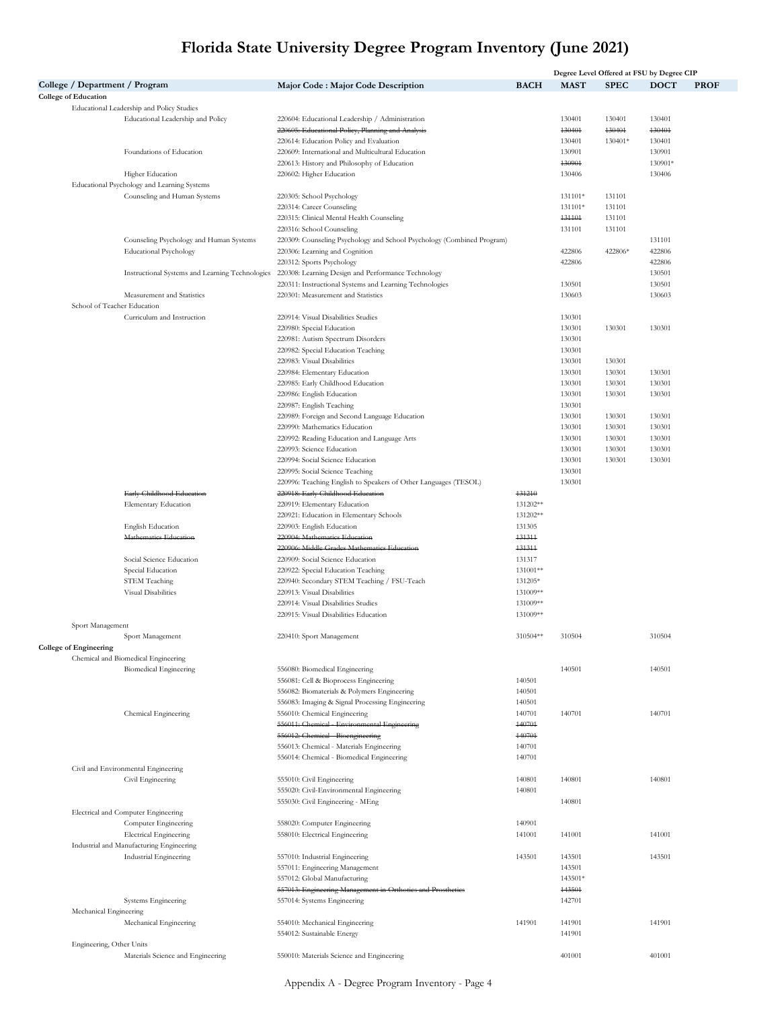|                                |                                                 |                                                                         |                  | Degree Level Offered at FSU by Degree CIP |             |             |             |  |
|--------------------------------|-------------------------------------------------|-------------------------------------------------------------------------|------------------|-------------------------------------------|-------------|-------------|-------------|--|
| College / Department / Program |                                                 | Major Code : Major Code Description                                     | <b>BACH</b>      | <b>MAST</b>                               | <b>SPEC</b> | <b>DOCT</b> | <b>PROF</b> |  |
| <b>College of Education</b>    |                                                 |                                                                         |                  |                                           |             |             |             |  |
|                                | Educational Leadership and Policy Studies       |                                                                         |                  |                                           |             |             |             |  |
|                                | Educational Leadership and Policy               | 220604: Educational Leadership / Administration                         |                  | 130401                                    | 130401      | 130401      |             |  |
|                                |                                                 | 220605: Educational Policy, Planning and Analysis                       |                  | 430401                                    | 430404      | 430401      |             |  |
|                                |                                                 | 220614: Education Policy and Evaluation                                 |                  | 130401                                    | 130401*     | 130401      |             |  |
|                                | Foundations of Education                        | 220609: International and Multicultural Education                       |                  | 130901                                    |             | 130901      |             |  |
|                                |                                                 | 220613: History and Philosophy of Education                             |                  | 430901                                    |             | 130901*     |             |  |
|                                | Higher Education                                | 220602: Higher Education                                                |                  | 130406                                    |             | 130406      |             |  |
|                                | Educational Psychology and Learning Systems     |                                                                         |                  |                                           |             |             |             |  |
|                                | Counseling and Human Systems                    | 220305: School Psychology                                               |                  | 131101*                                   | 131101      |             |             |  |
|                                |                                                 | 220314: Career Counseling                                               |                  | 131101*                                   | 131101      |             |             |  |
|                                |                                                 | 220315: Clinical Mental Health Counseling                               |                  | 431101                                    | 131101      |             |             |  |
|                                |                                                 | 220316: School Counseling                                               |                  | 131101                                    | 131101      |             |             |  |
|                                | Counseling Psychology and Human Systems         | 220309: Counseling Psychology and School Psychology (Combined Program)  |                  |                                           |             | 131101      |             |  |
|                                | <b>Educational Psychology</b>                   | 220306: Learning and Cognition                                          |                  | 422806                                    | 422806*     | 422806      |             |  |
|                                |                                                 | 220312: Sports Psychology                                               |                  | 422806                                    |             | 422806      |             |  |
|                                | Instructional Systems and Learning Technologies | 220308: Learning Design and Performance Technology                      |                  |                                           |             | 130501      |             |  |
|                                |                                                 | 220311: Instructional Systems and Learning Technologies                 |                  | 130501                                    |             | 130501      |             |  |
|                                | Measurement and Statistics                      | 220301: Measurement and Statistics                                      |                  | 130603                                    |             | 130603      |             |  |
| School of Teacher Education    |                                                 |                                                                         |                  |                                           |             |             |             |  |
|                                | Curriculum and Instruction                      | 220914: Visual Disabilities Studies                                     |                  | 130301                                    |             |             |             |  |
|                                |                                                 | 220980: Special Education                                               |                  | 130301                                    | 130301      | 130301      |             |  |
|                                |                                                 | 220981: Autism Spectrum Disorders                                       |                  | 130301                                    |             |             |             |  |
|                                |                                                 | 220982: Special Education Teaching                                      |                  | 130301                                    |             |             |             |  |
|                                |                                                 | 220983: Visual Disabilities                                             |                  | 130301                                    | 130301      |             |             |  |
|                                |                                                 | 220984: Elementary Education                                            |                  | 130301                                    | 130301      | 130301      |             |  |
|                                |                                                 | 220985: Early Childhood Education                                       |                  | 130301                                    | 130301      | 130301      |             |  |
|                                |                                                 | 220986: English Education                                               |                  | 130301                                    | 130301      | 130301      |             |  |
|                                |                                                 | 220987: English Teaching                                                |                  | 130301                                    |             |             |             |  |
|                                |                                                 | 220989: Foreign and Second Language Education                           |                  | 130301                                    | 130301      | 130301      |             |  |
|                                |                                                 | 220990: Mathematics Education                                           |                  | 130301                                    | 130301      | 130301      |             |  |
|                                |                                                 | 220992: Reading Education and Language Arts                             |                  | 130301                                    | 130301      | 130301      |             |  |
|                                |                                                 | 220993: Science Education                                               |                  | 130301                                    | 130301      | 130301      |             |  |
|                                |                                                 | 220994: Social Science Education                                        |                  | 130301                                    | 130301      | 130301      |             |  |
|                                |                                                 | 220995: Social Science Teaching                                         |                  | 130301                                    |             |             |             |  |
|                                |                                                 | 220996: Teaching English to Speakers of Other Languages (TESOL)         |                  | 130301                                    |             |             |             |  |
|                                | Early Childhood Education                       | 220918: Early Childhood Education                                       | 131210           |                                           |             |             |             |  |
|                                | Elementary Education                            |                                                                         | 131202**         |                                           |             |             |             |  |
|                                |                                                 | 220919: Elementary Education<br>220921: Education in Elementary Schools | 131202**         |                                           |             |             |             |  |
|                                | English Education                               |                                                                         |                  |                                           |             |             |             |  |
|                                | Mathematics Education                           | 220903: English Education<br>220904: Mathematics Education              | 131305<br>431314 |                                           |             |             |             |  |
|                                |                                                 | 220906: Middle Grades Mathematics Education                             | 431314           |                                           |             |             |             |  |
|                                |                                                 |                                                                         |                  |                                           |             |             |             |  |
|                                | Social Science Education                        | 220909: Social Science Education                                        | 131317           |                                           |             |             |             |  |
|                                | Special Education                               | 220922: Special Education Teaching                                      | 131001**         |                                           |             |             |             |  |
|                                | <b>STEM Teaching</b>                            | 220940: Secondary STEM Teaching / FSU-Teach                             | 131205*          |                                           |             |             |             |  |
|                                | Visual Disabilities                             | 220913: Visual Disabilities                                             | 131009**         |                                           |             |             |             |  |
|                                |                                                 | 220914: Visual Disabilities Studies                                     | 131009**         |                                           |             |             |             |  |
|                                |                                                 | 220915: Visual Disabilities Education                                   | 131009**         |                                           |             |             |             |  |
| Sport Management               |                                                 |                                                                         |                  |                                           |             |             |             |  |
|                                | Sport Management                                | 220410: Sport Management                                                | 310504**         | 310504                                    |             | 310504      |             |  |
| <b>College of Engineering</b>  |                                                 |                                                                         |                  |                                           |             |             |             |  |
|                                | Chemical and Biomedical Engineering             |                                                                         |                  |                                           |             |             |             |  |
|                                | <b>Biomedical Engineering</b>                   | 556080: Biomedical Engineering                                          |                  | 140501                                    |             | 140501      |             |  |
|                                |                                                 | 556081: Cell & Bioprocess Engineering                                   | 140501           |                                           |             |             |             |  |
|                                |                                                 | 556082: Biomaterials & Polymers Engineering                             | 140501           |                                           |             |             |             |  |
|                                |                                                 | 556083: Imaging & Signal Processing Engineering                         | 140501           |                                           |             |             |             |  |
|                                | Chemical Engineering                            | 556010: Chemical Engineering                                            | 140701           | 140701                                    |             | 140701      |             |  |
|                                |                                                 | 556011: Chemieal - Environmental Engineering                            | 140701<br>140701 |                                           |             |             |             |  |
|                                |                                                 | 556012: Chemieal - Bioengineering                                       |                  |                                           |             |             |             |  |
|                                |                                                 | 556013: Chemical - Materials Engineering                                | 140701           |                                           |             |             |             |  |
|                                |                                                 | 556014: Chemical - Biomedical Engineering                               | 140701           |                                           |             |             |             |  |
|                                | Civil and Environmental Engineering             |                                                                         |                  |                                           |             |             |             |  |
|                                | Civil Engineering                               | 555010: Civil Engineering                                               | 140801           | 140801                                    |             | 140801      |             |  |
|                                |                                                 | 555020: Civil-Environmental Engineering                                 | 140801           |                                           |             |             |             |  |
|                                |                                                 | 555030: Civil Engineering - MEng                                        |                  | 140801                                    |             |             |             |  |
|                                | Electrical and Computer Engineering             |                                                                         |                  |                                           |             |             |             |  |
|                                | Computer Engineering                            | 558020: Computer Engineering                                            | 140901           |                                           |             |             |             |  |
|                                | <b>Electrical Engineering</b>                   | 558010: Electrical Engineering                                          | 141001           | 141001                                    |             | 141001      |             |  |
|                                | Industrial and Manufacturing Engineering        |                                                                         |                  |                                           |             |             |             |  |
|                                | Industrial Engineering                          | 557010: Industrial Engineering                                          | 143501           | 143501                                    |             | 143501      |             |  |
|                                |                                                 | 557011: Engineering Management                                          |                  | 143501                                    |             |             |             |  |
|                                |                                                 | 557012: Global Manufacturing                                            |                  | 143501*                                   |             |             |             |  |
|                                |                                                 | 557013: Engineering Management in Orthotics and Prosthetics             |                  | 443501                                    |             |             |             |  |
|                                | Systems Engineering                             | 557014: Systems Engineering                                             |                  | 142701                                    |             |             |             |  |
| Mechanical Engineering         |                                                 |                                                                         |                  |                                           |             |             |             |  |
|                                | Mechanical Engineering                          | 554010: Mechanical Engineering                                          | 141901           | 141901                                    |             | 141901      |             |  |
|                                |                                                 | 554012: Sustainable Energy                                              |                  | 141901                                    |             |             |             |  |
| Engineering, Other Units       |                                                 |                                                                         |                  |                                           |             |             |             |  |
|                                | Materials Science and Engineering               | 550010: Materials Science and Engineering                               |                  | 401001                                    |             | 401001      |             |  |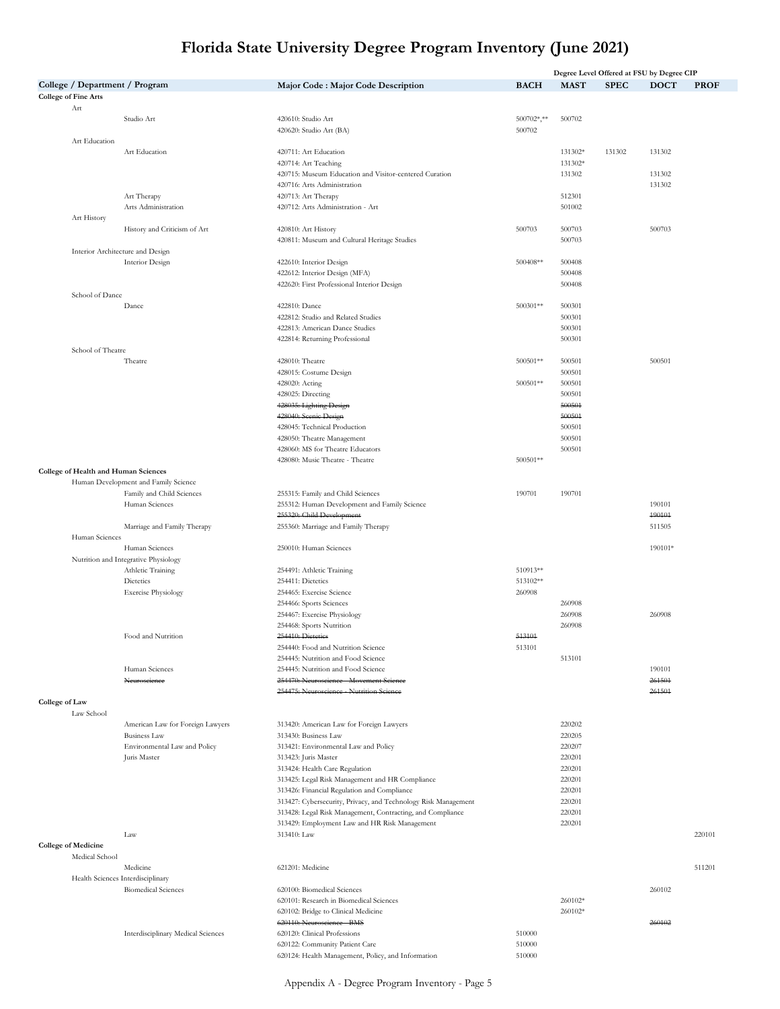|                                              |                                                                   |                                                                          |                  |                  | Degree Level Offered at FSU by Degree CIP |             |             |
|----------------------------------------------|-------------------------------------------------------------------|--------------------------------------------------------------------------|------------------|------------------|-------------------------------------------|-------------|-------------|
| College / Department / Program               |                                                                   | Major Code : Major Code Description                                      | <b>BACH</b>      | <b>MAST</b>      | <b>SPEC</b>                               | <b>DOCT</b> | <b>PROF</b> |
| <b>College of Fine Arts</b>                  |                                                                   |                                                                          |                  |                  |                                           |             |             |
| Art                                          | Studio Art                                                        | 420610: Studio Art                                                       | 500702*,**       | 500702           |                                           |             |             |
|                                              |                                                                   | 420620: Studio Art (BA)                                                  | 500702           |                  |                                           |             |             |
| Art Education                                |                                                                   |                                                                          |                  |                  |                                           |             |             |
|                                              | Art Education                                                     | 420711: Art Education                                                    |                  | 131302*          | 131302                                    | 131302      |             |
|                                              |                                                                   | 420714: Art Teaching                                                     |                  | 131302*          |                                           |             |             |
|                                              |                                                                   | 420715: Museum Education and Visitor-centered Curation                   |                  | 131302           |                                           | 131302      |             |
|                                              |                                                                   | 420716: Arts Administration                                              |                  |                  |                                           | 131302      |             |
|                                              | Art Therapy<br>Arts Administration                                | 420713: Art Therapy<br>420712: Arts Administration - Art                 |                  | 512301<br>501002 |                                           |             |             |
| Art History                                  |                                                                   |                                                                          |                  |                  |                                           |             |             |
|                                              | History and Criticism of Art                                      | 420810: Art History                                                      | 500703           | 500703           |                                           | 500703      |             |
|                                              |                                                                   | 420811: Museum and Cultural Heritage Studies                             |                  | 500703           |                                           |             |             |
|                                              | Interior Architecture and Design                                  |                                                                          |                  |                  |                                           |             |             |
|                                              | Interior Design                                                   | 422610: Interior Design                                                  | 500408**         | 500408           |                                           |             |             |
|                                              |                                                                   | 422612: Interior Design (MFA)                                            |                  | 500408           |                                           |             |             |
| School of Dance                              |                                                                   | 422620: First Professional Interior Design                               |                  | 500408           |                                           |             |             |
|                                              | Dance                                                             | 422810: Dance                                                            | 500301**         | 500301           |                                           |             |             |
|                                              |                                                                   | 422812: Studio and Related Studies                                       |                  | 500301           |                                           |             |             |
|                                              |                                                                   | 422813: American Dance Studies                                           |                  | 500301           |                                           |             |             |
|                                              |                                                                   | 422814: Returning Professional                                           |                  | 500301           |                                           |             |             |
| School of Theatre                            |                                                                   |                                                                          |                  |                  |                                           |             |             |
|                                              | Theatre                                                           | 428010: Theatre                                                          | 500501**         | 500501           |                                           | 500501      |             |
|                                              |                                                                   | 428015: Costume Design                                                   |                  | 500501           |                                           |             |             |
|                                              |                                                                   | 428020: Acting<br>428025: Directing                                      | 500501**         | 500501<br>500501 |                                           |             |             |
|                                              |                                                                   | 428035: Lighting Design                                                  |                  | 500501           |                                           |             |             |
|                                              |                                                                   | 428040: Scenic Design                                                    |                  | 500501           |                                           |             |             |
|                                              |                                                                   | 428045: Technical Production                                             |                  | 500501           |                                           |             |             |
|                                              |                                                                   | 428050: Theatre Management                                               |                  | 500501           |                                           |             |             |
|                                              |                                                                   | 428060: MS for Theatre Educators                                         |                  | 500501           |                                           |             |             |
|                                              |                                                                   | 428080: Music Theatre - Theatre                                          | 500501**         |                  |                                           |             |             |
| College of Health and Human Sciences         |                                                                   |                                                                          |                  |                  |                                           |             |             |
|                                              | Human Development and Family Science<br>Family and Child Sciences | 255315: Family and Child Sciences                                        | 190701           | 190701           |                                           |             |             |
|                                              | Human Sciences                                                    | 255312: Human Development and Family Science                             |                  |                  |                                           | 190101      |             |
|                                              |                                                                   | 255320: Child Development                                                |                  |                  |                                           | 490101      |             |
|                                              | Marriage and Family Therapy                                       | 255360: Marriage and Family Therapy                                      |                  |                  |                                           | 511505      |             |
| Human Sciences                               |                                                                   |                                                                          |                  |                  |                                           |             |             |
|                                              | Human Sciences                                                    | 250010: Human Sciences                                                   |                  |                  |                                           | 190101*     |             |
|                                              | Nutrition and Integrative Physiology<br>Athletic Training         | 254491: Athletic Training                                                | 510913**         |                  |                                           |             |             |
|                                              | Dietetics                                                         | 254411: Dietetics                                                        | 513102**         |                  |                                           |             |             |
|                                              | <b>Exercise Physiology</b>                                        | 254465: Exercise Science                                                 | 260908           |                  |                                           |             |             |
|                                              |                                                                   | 254466: Sports Sciences                                                  |                  | 260908           |                                           |             |             |
|                                              |                                                                   | 254467: Exercise Physiology                                              |                  | 260908           |                                           | 260908      |             |
|                                              |                                                                   | 254468: Sports Nutrition                                                 |                  | 260908           |                                           |             |             |
|                                              | Food and Nutrition                                                | 254410: Dieteties                                                        | 543101           |                  |                                           |             |             |
|                                              |                                                                   | 254440: Food and Nutrition Science<br>254445: Nutrition and Food Science | 513101           | 513101           |                                           |             |             |
|                                              | Human Sciences                                                    | 254445: Nutrition and Food Science                                       |                  |                  |                                           | 190101      |             |
|                                              | Neuroscience                                                      | 254470: Neuroscience - Movement Science                                  |                  |                  |                                           | 261501      |             |
|                                              |                                                                   | 254475: Neuroscience - Nutrition Science                                 |                  |                  |                                           | 261501      |             |
| <b>College of Law</b>                        |                                                                   |                                                                          |                  |                  |                                           |             |             |
| Law School                                   |                                                                   |                                                                          |                  |                  |                                           |             |             |
|                                              | American Law for Foreign Lawyers                                  | 313420: American Law for Foreign Lawyers                                 |                  | 220202           |                                           |             |             |
|                                              | <b>Business Law</b>                                               | 313430: Business Law                                                     |                  | 220205           |                                           |             |             |
|                                              | Environmental Law and Policy<br>Juris Master                      | 313421: Environmental Law and Policy<br>313423: Juris Master             |                  | 220207<br>220201 |                                           |             |             |
|                                              |                                                                   | 313424: Health Care Regulation                                           |                  | 220201           |                                           |             |             |
|                                              |                                                                   | 313425: Legal Risk Management and HR Compliance                          |                  | 220201           |                                           |             |             |
|                                              |                                                                   | 313426: Financial Regulation and Compliance                              |                  | 220201           |                                           |             |             |
|                                              |                                                                   | 313427: Cybersecurity, Privacy, and Technology Risk Management           |                  | 220201           |                                           |             |             |
|                                              |                                                                   | 313428: Legal Risk Management, Contracting, and Compliance               |                  | 220201           |                                           |             |             |
|                                              |                                                                   | 313429: Employment Law and HR Risk Management                            |                  | 220201           |                                           |             |             |
|                                              | Law                                                               | 313410: Law                                                              |                  |                  |                                           |             | 220101      |
| <b>College of Medicine</b><br>Medical School |                                                                   |                                                                          |                  |                  |                                           |             |             |
|                                              | Medicine                                                          | 621201: Medicine                                                         |                  |                  |                                           |             | 511201      |
|                                              | Health Sciences Interdisciplinary                                 |                                                                          |                  |                  |                                           |             |             |
|                                              | <b>Biomedical Sciences</b>                                        | 620100: Biomedical Sciences                                              |                  |                  |                                           | 260102      |             |
|                                              |                                                                   | 620101: Research in Biomedical Sciences                                  |                  | 260102*          |                                           |             |             |
|                                              |                                                                   | 620102: Bridge to Clinical Medicine                                      |                  | 260102*          |                                           |             |             |
|                                              |                                                                   | 620110: Neuroscience - BMS                                               |                  |                  |                                           | 260102      |             |
|                                              | Interdisciplinary Medical Sciences                                | 620120: Clinical Professions<br>620122: Community Patient Care           | 510000<br>510000 |                  |                                           |             |             |
|                                              |                                                                   | 620124: Health Management, Policy, and Information                       | 510000           |                  |                                           |             |             |
|                                              |                                                                   |                                                                          |                  |                  |                                           |             |             |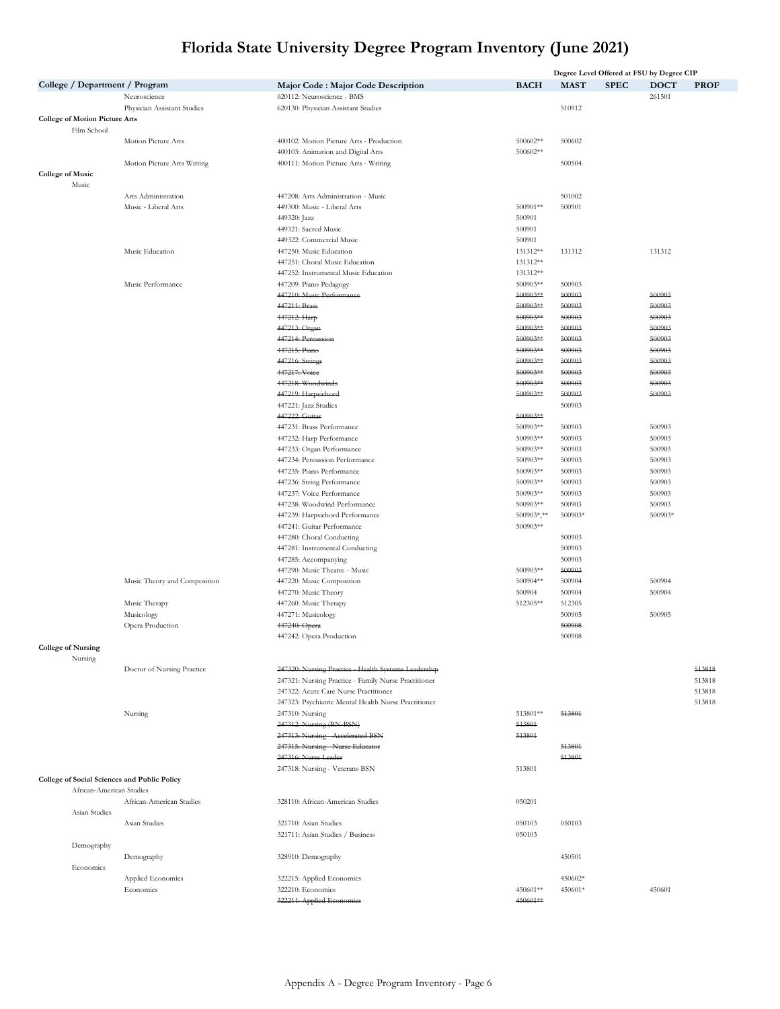|                                       |                          |                                              |                                                                                               |                      |                    | Degree Level Offered at FSU by Degree CIP |                  |                  |
|---------------------------------------|--------------------------|----------------------------------------------|-----------------------------------------------------------------------------------------------|----------------------|--------------------|-------------------------------------------|------------------|------------------|
|                                       |                          | College / Department / Program               | Major Code: Major Code Description                                                            | <b>BACH</b>          | <b>MAST</b>        | <b>SPEC</b>                               | DOCT             | <b>PROF</b>      |
|                                       |                          | Neuroscience                                 | 620112: Neuroscience - BMS                                                                    |                      |                    |                                           | 261501           |                  |
|                                       |                          | Physician Assistant Studies                  | 620130: Physician Assistant Studies                                                           |                      | 510912             |                                           |                  |                  |
| <b>College of Motion Picture Arts</b> |                          |                                              |                                                                                               |                      |                    |                                           |                  |                  |
|                                       | Film School              |                                              |                                                                                               |                      |                    |                                           |                  |                  |
|                                       |                          | Motion Picture Arts                          | 400102: Motion Picture Arts - Production                                                      | 500602**             | 500602             |                                           |                  |                  |
|                                       |                          |                                              | 400103: Animation and Digital Arts                                                            | 500602**             | 500504             |                                           |                  |                  |
| <b>College of Music</b>               |                          | Motion Picture Arts Writing                  | 400111: Motion Picture Arts - Writing                                                         |                      |                    |                                           |                  |                  |
| Music                                 |                          |                                              |                                                                                               |                      |                    |                                           |                  |                  |
|                                       |                          | Arts Administration                          | 447208: Arts Administration - Music                                                           |                      | 501002             |                                           |                  |                  |
|                                       |                          | Music - Liberal Arts                         | 449300: Music - Liberal Arts                                                                  | 500901**             | 500901             |                                           |                  |                  |
|                                       |                          |                                              | 449320: Jazz                                                                                  | 500901               |                    |                                           |                  |                  |
|                                       |                          |                                              | 449321: Sacred Music                                                                          | 500901               |                    |                                           |                  |                  |
|                                       |                          |                                              | 449322: Commercial Music                                                                      | 500901               |                    |                                           |                  |                  |
|                                       |                          | Music Education                              | 447250: Music Education                                                                       | 131312**             | 131312             |                                           | 131312           |                  |
|                                       |                          |                                              | 447251: Choral Music Education<br>447252: Instrumental Music Education                        | 131312**<br>131312** |                    |                                           |                  |                  |
|                                       |                          | Music Performance                            | 447209: Piano Pedagogy                                                                        | 500903**             | 500903             |                                           |                  |                  |
|                                       |                          |                                              | 447210: Music Performance                                                                     | 500903**             | 500903             |                                           | 500903           |                  |
|                                       |                          |                                              | 447211: Brass                                                                                 | 500903**             | 500903             |                                           | 500903           |                  |
|                                       |                          |                                              | 447212: Harp                                                                                  | 500903**             | 500903             |                                           | 500903           |                  |
|                                       |                          |                                              | 447213: Organ                                                                                 | 500903**             | 500903             |                                           | 500903           |                  |
|                                       |                          |                                              | 447214: Percussion                                                                            | 500903**             | 500903             |                                           | 500903           |                  |
|                                       |                          |                                              | 447215: Piano                                                                                 | 500903**             | 500903             |                                           | 500903           |                  |
|                                       |                          |                                              | 447216: Strings                                                                               | 500903**             | 500903             |                                           | 500903           |                  |
|                                       |                          |                                              | 447217: Voice<br>447218: Woodwinds                                                            | 500903**<br>500903** | 500903<br>500903   |                                           | 500903<br>500903 |                  |
|                                       |                          |                                              | 447219: Harpsichord                                                                           | 500903**             | 500903             |                                           | 500903           |                  |
|                                       |                          |                                              | 447221: Jazz Studies                                                                          |                      | 500903             |                                           |                  |                  |
|                                       |                          |                                              | 447222: Guitar                                                                                | 500903**             |                    |                                           |                  |                  |
|                                       |                          |                                              | 447231: Brass Performance                                                                     | 500903**             | 500903             |                                           | 500903           |                  |
|                                       |                          |                                              | 447232: Harp Performance                                                                      | 500903**             | 500903             |                                           | 500903           |                  |
|                                       |                          |                                              | 447233: Organ Performance                                                                     | 500903**             | 500903             |                                           | 500903           |                  |
|                                       |                          |                                              | 447234: Percussion Performance                                                                | 500903**             | 500903             |                                           | 500903           |                  |
|                                       |                          |                                              | 447235: Piano Performance                                                                     | 500903**             | 500903             |                                           | 500903           |                  |
|                                       |                          |                                              | 447236: String Performance<br>447237: Voice Performance                                       | 500903**<br>500903** | 500903<br>500903   |                                           | 500903<br>500903 |                  |
|                                       |                          |                                              | 447238: Woodwind Performance                                                                  | 500903**             | 500903             |                                           | 500903           |                  |
|                                       |                          |                                              | 447239: Harpsichord Performance                                                               | $500903$ *,**        | 500903*            |                                           | 500903*          |                  |
|                                       |                          |                                              | 447241: Guitar Performance                                                                    | 500903**             |                    |                                           |                  |                  |
|                                       |                          |                                              | 447280: Choral Conducting                                                                     |                      | 500903             |                                           |                  |                  |
|                                       |                          |                                              | 447281: Instrumental Conducting                                                               |                      | 500903             |                                           |                  |                  |
|                                       |                          |                                              | 447285: Accompanying                                                                          |                      | 500903             |                                           |                  |                  |
|                                       |                          |                                              | 447290: Music Theatre - Music                                                                 | 500903**             | 500903             |                                           |                  |                  |
|                                       |                          | Music Theory and Composition                 | 447220: Music Composition<br>447270: Music Theory                                             | 500904**             | 500904             |                                           | 500904<br>500904 |                  |
|                                       |                          | Music Therapy                                | 447260: Music Therapy                                                                         | 500904<br>512305**   | 500904<br>512305   |                                           |                  |                  |
|                                       |                          | Musicology                                   | 447271: Musicology                                                                            |                      | 500905             |                                           | 500905           |                  |
|                                       |                          | Opera Production                             | 447240: Opera                                                                                 |                      | 500908             |                                           |                  |                  |
|                                       |                          |                                              | 447242: Opera Production                                                                      |                      | 500908             |                                           |                  |                  |
| <b>College of Nursing</b>             |                          |                                              |                                                                                               |                      |                    |                                           |                  |                  |
|                                       | Nursing                  |                                              |                                                                                               |                      |                    |                                           |                  |                  |
|                                       |                          | Doctor of Nursing Practice                   | 247320: Nursing Practice - Health Systems Leadership                                          |                      |                    |                                           |                  | 513818           |
|                                       |                          |                                              | 247321: Nursing Practice - Family Nurse Practitioner<br>247322: Acute Care Nurse Practitioner |                      |                    |                                           |                  | 513818<br>513818 |
|                                       |                          |                                              | 247323: Psychiatric Mental Health Nurse Practitioner                                          |                      |                    |                                           |                  | 513818           |
|                                       |                          | Nursing                                      | 247310: Nursing                                                                               | 513801**             | 513801             |                                           |                  |                  |
|                                       |                          |                                              | 247312: Nursing (RN-BSN)                                                                      | 513801               |                    |                                           |                  |                  |
|                                       |                          |                                              | 247313: Nursing - Accelerated BSN                                                             | 513801               |                    |                                           |                  |                  |
|                                       |                          |                                              | 247315: Nursing - Nurse Educator                                                              |                      | 513801             |                                           |                  |                  |
|                                       |                          |                                              | 247316: Nurse Leader                                                                          |                      | 513801             |                                           |                  |                  |
|                                       |                          |                                              | 247318: Nursing - Veterans BSN                                                                | 513801               |                    |                                           |                  |                  |
|                                       | African-American Studies | College of Social Sciences and Public Policy |                                                                                               |                      |                    |                                           |                  |                  |
|                                       |                          | African-American Studies                     | 328110: African-American Studies                                                              | 050201               |                    |                                           |                  |                  |
|                                       | Asian Studies            |                                              |                                                                                               |                      |                    |                                           |                  |                  |
|                                       |                          | Asian Studies                                | 321710: Asian Studies                                                                         | 050103               | 050103             |                                           |                  |                  |
|                                       |                          |                                              | 321711: Asian Studies / Business                                                              | 050103               |                    |                                           |                  |                  |
|                                       | Demography               |                                              |                                                                                               |                      |                    |                                           |                  |                  |
|                                       |                          | Demography                                   | 328910: Demography                                                                            |                      | 450501             |                                           |                  |                  |
|                                       | Economics                |                                              |                                                                                               |                      |                    |                                           |                  |                  |
|                                       |                          | Applied Economics<br>Economics               | 322215: Applied Economics<br>322210: Economics                                                | 450601**             | 450602*<br>450601* |                                           | 450601           |                  |
|                                       |                          |                                              | 322211: Applied Economics                                                                     | 450601**             |                    |                                           |                  |                  |
|                                       |                          |                                              |                                                                                               |                      |                    |                                           |                  |                  |